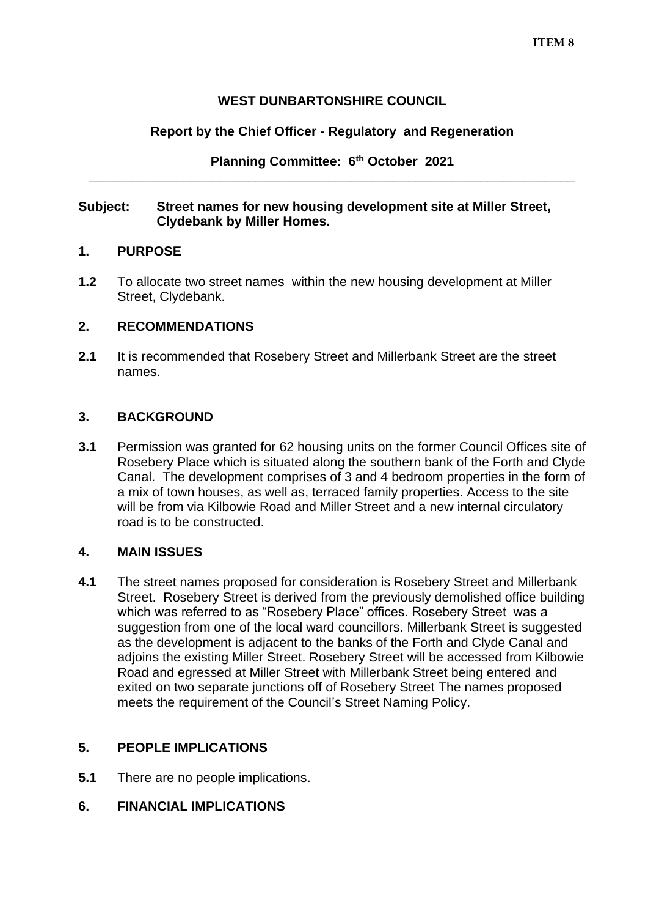## **WEST DUNBARTONSHIRE COUNCIL**

## **Report by the Chief Officer - Regulatory and Regeneration**

**Planning Committee: 6 th October 2021 \_\_\_\_\_\_\_\_\_\_\_\_\_\_\_\_\_\_\_\_\_\_\_\_\_\_\_\_\_\_\_\_\_\_\_\_\_\_\_\_\_\_\_\_\_\_\_\_\_\_\_\_\_\_\_\_\_\_\_\_\_\_\_\_\_\_\_**

#### **Subject: Street names for new housing development site at Miller Street, Clydebank by Miller Homes.**

### **1. PURPOSE**

**1.2** To allocate two street names within the new housing development at Miller Street, Clydebank.

### **2. RECOMMENDATIONS**

**2.1** It is recommended that Rosebery Street and Millerbank Street are the street names.

### **3. BACKGROUND**

**3.1** Permission was granted for 62 housing units on the former Council Offices site of Rosebery Place which is situated along the southern bank of the Forth and Clyde Canal. The development comprises of 3 and 4 bedroom properties in the form of a mix of town houses, as well as, terraced family properties. Access to the site will be from via Kilbowie Road and Miller Street and a new internal circulatory road is to be constructed.

### **4. MAIN ISSUES**

**4.1** The street names proposed for consideration is Rosebery Street and Millerbank Street. Rosebery Street is derived from the previously demolished office building which was referred to as "Rosebery Place" offices. Rosebery Street was a suggestion from one of the local ward councillors. Millerbank Street is suggested as the development is adjacent to the banks of the Forth and Clyde Canal and adjoins the existing Miller Street. Rosebery Street will be accessed from Kilbowie Road and egressed at Miller Street with Millerbank Street being entered and exited on two separate junctions off of Rosebery Street The names proposed meets the requirement of the Council's Street Naming Policy.

# **5. PEOPLE IMPLICATIONS**

**5.1** There are no people implications.

# **6. FINANCIAL IMPLICATIONS**